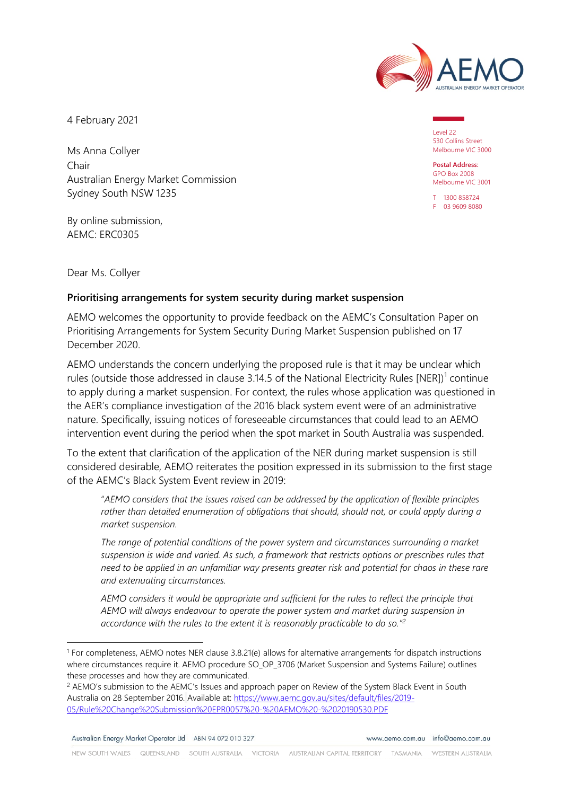

4 February 2021

Ms Anna Collyer Chair Australian Energy Market Commission Sydney South NSW 1235

By online submission, AEMC: ERC0305

Level 22 530 Collins Street Melbourne VIC 3000

**Postal Address:** GPO Box 2008 Melbourne VIC 3001

T 1300 858724 F 03 9609 8080

Dear Ms. Collyer

## **Prioritising arrangements for system security during market suspension**

AEMO welcomes the opportunity to provide feedback on the AEMC's Consultation Paper on Prioritising Arrangements for System Security During Market Suspension published on 17 December 2020.

AEMO understands the concern underlying the proposed rule is that it may be unclear which rules (outside those addressed in clause 3.[1](#page-0-0)4.5 of the National Electricity Rules  $[NER])^1$  continue to apply during a market suspension. For context, the rules whose application was questioned in the AER's compliance investigation of the 2016 black system event were of an administrative nature. Specifically, issuing notices of foreseeable circumstances that could lead to an AEMO intervention event during the period when the spot market in South Australia was suspended.

To the extent that clarification of the application of the NER during market suspension is still considered desirable, AEMO reiterates the position expressed in its submission to the first stage of the AEMC's Black System Event review in 2019:

"*AEMO considers that the issues raised can be addressed by the application of flexible principles rather than detailed enumeration of obligations that should, should not, or could apply during a market suspension.* 

*The range of potential conditions of the power system and circumstances surrounding a market suspension is wide and varied. As such, a framework that restricts options or prescribes rules that need to be applied in an unfamiliar way presents greater risk and potential for chaos in these rare and extenuating circumstances.* 

*AEMO considers it would be appropriate and sufficient for the rules to reflect the principle that AEMO will always endeavour to operate the power system and market during suspension in accordance with the rules to the extent it is reasonably practicable to do so."[2](#page-0-1)*

Australian Energy Market Operator Ltd ABN 94 072 010 327

www.gemo.com.gu info@gemo.com.gu

<span id="page-0-0"></span><sup>1</sup> For completeness, AEMO notes NER clause 3.8.21(e) allows for alternative arrangements for dispatch instructions where circumstances require it. AEMO procedure SO\_OP\_3706 (Market Suspension and Systems Failure) outlines these processes and how they are communicated.

<span id="page-0-1"></span><sup>&</sup>lt;sup>2</sup> AEMO's submission to the AEMC's Issues and approach paper on Review of the System Black Event in South Australia on 28 September 2016. Available at: [https://www.aemc.gov.au/sites/default/files/2019-](https://www.aemc.gov.au/sites/default/files/2019-05/Rule%20Change%20Submission%20EPR0057%20-%20AEMO%20-%2020190530.PDF) [05/Rule%20Change%20Submission%20EPR0057%20-%20AEMO%20-%2020190530.PDF](https://www.aemc.gov.au/sites/default/files/2019-05/Rule%20Change%20Submission%20EPR0057%20-%20AEMO%20-%2020190530.PDF)